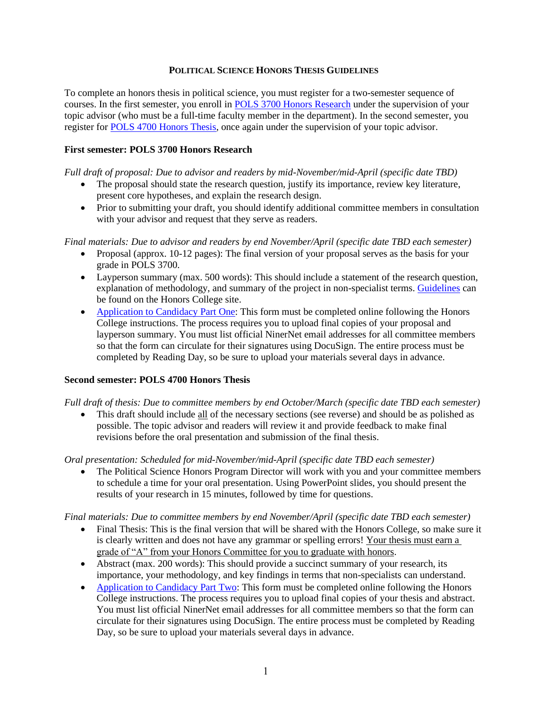#### **POLITICAL SCIENCE HONORS THESIS GUIDELINES**

To complete an honors thesis in political science, you must register for a two-semester sequence of courses. In the first semester, you enroll in POLS 3700 Honors Research under the supervision of your topic advisor (who must be a full-time faculty member in the department). In the second semester, you register for POLS 4700 Honors Thesis, once again under the supervision of your topic advisor.

# **First semester: POLS 3700 Honors Research**

*Full draft of proposal: Due to advisor and readers by mid-November/mid-April (specific date TBD)*

- The proposal should state the research question, justify its importance, review key literature, present core hypotheses, and explain the research design.
- Prior to submitting your draft, you should identify additional committee members in consultation with your advisor and request that they serve as readers.

*Final materials: Due to advisor and readers by end November/April (specific date TBD each semester)*

- Proposal (approx. 10-12 pages): The final version of your proposal serves as the basis for your grade in POLS 3700.
- Layperson summary (max. 500 words): This should include a statement of the research question, explanation of methodology, and summary of the project in non-specialist terms. Guidelines can be found on the Honors College site.
- Application to Candidacy Part One: This form must be completed online following the Honors College instructions. The process requires you to upload final copies of your proposal and layperson summary. You must list official NinerNet email addresses for all committee members so that the form can circulate for their signatures using DocuSign. The entire process must be completed by Reading Day, so be sure to upload your materials several days in advance.

## **Second semester: POLS 4700 Honors Thesis**

*Full draft of thesis: Due to committee members by end October/March (specific date TBD each semester)*

• This draft should include all of the necessary sections (see reverse) and should be as polished as possible. The topic advisor and readers will review it and provide feedback to make final revisions before the oral presentation and submission of the final thesis.

*Oral presentation: Scheduled for mid-November/mid-April (specific date TBD each semester)*

• The Political Science Honors Program Director will work with you and your committee members to schedule a time for your oral presentation. Using PowerPoint slides, you should present the results of your research in 15 minutes, followed by time for questions.

*Final materials: Due to committee members by end November/April (specific date TBD each semester)*

- Final Thesis: This is the final version that will be shared with the Honors College, so make sure it is clearly written and does not have any grammar or spelling errors! Your thesis must earn a grade of "A" from your Honors Committee for you to graduate with honors.
- Abstract (max. 200 words): This should provide a succinct summary of your research, its importance, your methodology, and key findings in terms that non-specialists can understand.
- Application to Candidacy Part Two: This form must be completed online following the Honors College instructions. The process requires you to upload final copies of your thesis and abstract. You must list official NinerNet email addresses for all committee members so that the form can circulate for their signatures using DocuSign. The entire process must be completed by Reading Day, so be sure to upload your materials several days in advance.